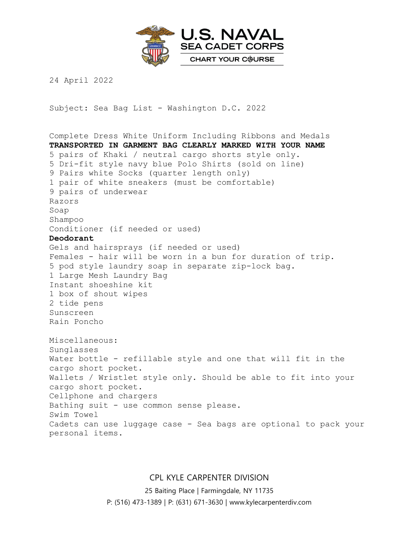

24 April 2022

Subject: Sea Bag List - Washington D.C. 2022

Complete Dress White Uniform Including Ribbons and Medals **TRANSPORTED IN GARMENT BAG CLEARLY MARKED WITH YOUR NAME** 5 pairs of Khaki / neutral cargo shorts style only. 5 Dri-fit style navy blue Polo Shirts (sold on line) 9 Pairs white Socks (quarter length only) 1 pair of white sneakers (must be comfortable) 9 pairs of underwear Razors Soap Shampoo Conditioner (if needed or used) **Deodorant** Gels and hairsprays (if needed or used) Females - hair will be worn in a bun for duration of trip. 5 pod style laundry soap in separate zip-lock bag. 1 Large Mesh Laundry Bag Instant shoeshine kit 1 box of shout wipes 2 tide pens Sunscreen Rain Poncho Miscellaneous: Sunglasses Water bottle - refillable style and one that will fit in the cargo short pocket. Wallets / Wristlet style only. Should be able to fit into your cargo short pocket. Cellphone and chargers Bathing suit - use common sense please. Swim Towel Cadets can use luggage case - Sea bags are optional to pack your personal items.

CPL KYLE CARPENTER DIVISION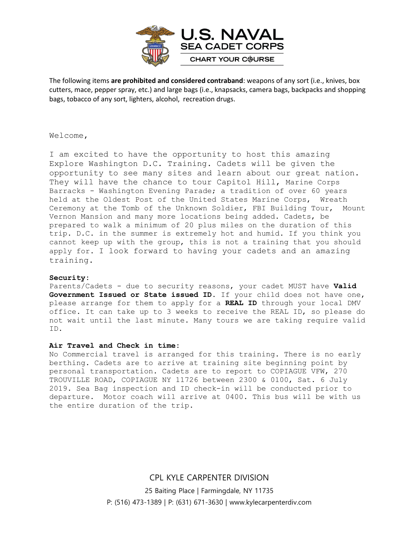

The following items **are prohibited and considered contraband**: weapons of any sort (i.e., knives, box cutters, mace, pepper spray, etc.) and large bags (i.e., knapsacks, camera bags, backpacks and shopping bags, tobacco of any sort, lighters, alcohol, recreation drugs.

#### Welcome,

I am excited to have the opportunity to host this amazing Explore Washington D.C. Training. Cadets will be given the opportunity to see many sites and learn about our great nation. They will have the chance to tour Capitol Hill, Marine Corps Barracks - Washington Evening Parade; a tradition of over 60 years held at the Oldest Post of the United States Marine Corps, Wreath Ceremony at the Tomb of the Unknown Soldier, FBI Building Tour, Mount Vernon Mansion and many more locations being added. Cadets, be prepared to walk a minimum of 20 plus miles on the duration of this trip. D.C. in the summer is extremely hot and humid. If you think you cannot keep up with the group, this is not a training that you should apply for. I look forward to having your cadets and an amazing training.

#### **Security:**

Parents/Cadets - due to security reasons, your cadet MUST have **Valid Government Issued or State issued ID**. If your child does not have one, please arrange for them to apply for a **REAL ID** through your local DMV office. It can take up to 3 weeks to receive the REAL ID, so please do not wait until the last minute. Many tours we are taking require valid ID.

### **Air Travel and Check in time:**

No Commercial travel is arranged for this training. There is no early berthing. Cadets are to arrive at training site beginning point by personal transportation. Cadets are to report to COPIAGUE VFW, 270 TROUVILLE ROAD, COPIAGUE NY 11726 between 2300 & 0100, Sat. 6 July 2019. Sea Bag inspection and ID check-in will be conducted prior to departure. Motor coach will arrive at 0400. This bus will be with us the entire duration of the trip.

> CPL KYLE CARPENTER DIVISION 25 Baiting Place | Farmingdale, NY 11735 P: (516) 473-1389 | P: (631) 671-3630 | www.kylecarpenterdiv.com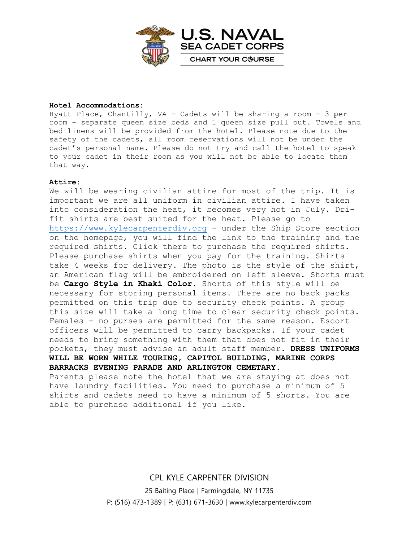

#### **Hotel Accommodations:**

Hyatt Place, Chantilly, VA - Cadets will be sharing a room - 3 per room - separate queen size beds and 1 queen size pull out. Towels and bed linens will be provided from the hotel. Please note due to the safety of the cadets, all room reservations will not be under the cadet's personal name. Please do not try and call the hotel to speak to your cadet in their room as you will not be able to locate them that way.

#### **Attire:**

We will be wearing civilian attire for most of the trip. It is important we are all uniform in civilian attire. I have taken into consideration the heat, it becomes very hot in July. Drifit shirts are best suited for the heat. Please go to [https://www.kylecarpenterdiv.org](https://www.kylecarpenterdiv.org/) - under the Ship Store section on the homepage, you will find the link to the training and the required shirts. Click there to purchase the required shirts. Please purchase shirts when you pay for the training. Shirts take 4 weeks for delivery. The photo is the style of the shirt, an American flag will be embroidered on left sleeve. Shorts must be **Cargo Style in Khaki Color**. Shorts of this style will be necessary for storing personal items. There are no back packs permitted on this trip due to security check points. A group this size will take a long time to clear security check points. Females - no purses are permitted for the same reason. Escort officers will be permitted to carry backpacks. If your cadet needs to bring something with them that does not fit in their pockets, they must advise an adult staff member. **DRESS UNIFORMS WILL BE WORN WHILE TOURING, CAPITOL BUILDING, MARINE CORPS BARRACKS EVENING PARADE AND ARLINGTON CEMETARY.** Parents please note the hotel that we are staying at does not have laundry facilities. You need to purchase a minimum of 5

shirts and cadets need to have a minimum of 5 shorts. You are able to purchase additional if you like.

CPL KYLE CARPENTER DIVISION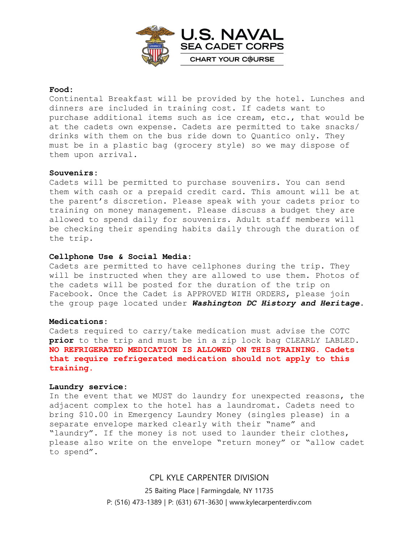

### **Food:**

Continental Breakfast will be provided by the hotel. Lunches and dinners are included in training cost. If cadets want to purchase additional items such as ice cream, etc., that would be at the cadets own expense. Cadets are permitted to take snacks/ drinks with them on the bus ride down to Quantico only. They must be in a plastic bag (grocery style) so we may dispose of them upon arrival.

#### **Souvenirs:**

Cadets will be permitted to purchase souvenirs. You can send them with cash or a prepaid credit card. This amount will be at the parent's discretion. Please speak with your cadets prior to training on money management. Please discuss a budget they are allowed to spend daily for souvenirs. Adult staff members will be checking their spending habits daily through the duration of the trip.

### **Cellphone Use & Social Media:**

Cadets are permitted to have cellphones during the trip. They will be instructed when they are allowed to use them. Photos of the cadets will be posted for the duration of the trip on Facebook. Once the Cadet is APPROVED WITH ORDERS, please join the group page located under *Washington DC History and Heritage*.

### **Medications:**

Cadets required to carry/take medication must advise the COTC **prior** to the trip and must be in a zip lock bag CLEARLY LABLED. **NO REFRIGERATED MEDICATION IS ALLOWED ON THIS TRAINING. Cadets that require refrigerated medication should not apply to this training.** 

### **Laundry service:**

In the event that we MUST do laundry for unexpected reasons, the adjacent complex to the hotel has a laundromat. Cadets need to bring \$10.00 in Emergency Laundry Money (singles please) in a separate envelope marked clearly with their "name" and "laundry". If the money is not used to launder their clothes, please also write on the envelope "return money" or "allow cadet to spend".

### CPL KYLE CARPENTER DIVISION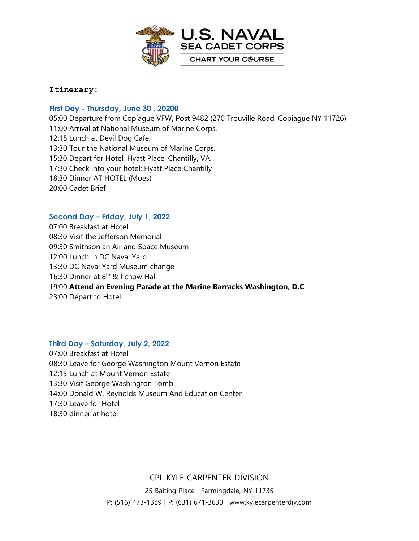

### **Itinerary:**

### **First Day - Thursday, June 30 , 20200**

05:00 Departure from Copiague VFW, Post 9482 (270 Trouville Road, Copiague NY 11726) 11:00 Arrival at National Museum of Marine Corps. 12:15 Lunch at Devil Dog Cafe. 13:30 Tour the National Museum of Marine Corps. 15:30 Depart for Hotel, Hyatt Place, Chantilly, VA. 17:30 Check into your hotel: Hyatt Place Chantilly 18:30 Dinner AT HOTEL (Moes) 20:00 Cadet Brief

### **Second Day – Friday, July 1, 2022**

07:00 Breakfast at Hotel. 08:30 Visit the Jefferson Memorial 09:30 Smithsonian Air and Space Museum 12:00 Lunch in DC Naval Yard 13:30 DC Naval Yard Museum change 16:30 Dinner at  $8<sup>th</sup>$  & I chow Hall 19:00 **Attend an Evening Parade at the Marine Barracks Washington, D.C**. 23:00 Depart to Hotel

### **Third Day – Saturday, July 2, 2022**

07:00 Breakfast at Hotel 08:30 Leave for George Washington Mount Vernon Estate 12:15 Lunch at Mount Vernon Estate 13:30 Visit George Washington Tomb. 14:00 Donald W. Reynolds Museum And Education Center 17:30 Leave for Hotel 18:30 dinner at hotel

# CPL KYLE CARPENTER DIVISION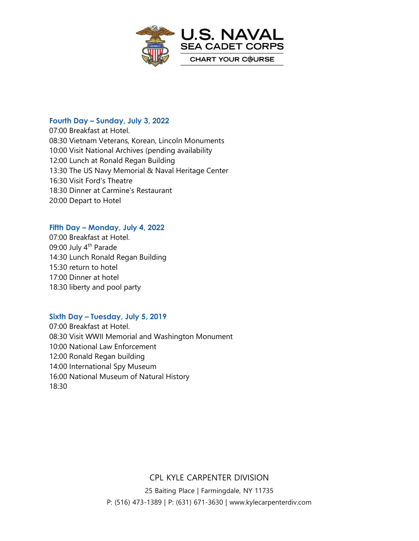

# **Fourth Day – Sunday, July 3, 2022**

07:00 Breakfast at Hotel. 08:30 Vietnam Veterans, Korean, Lincoln Monuments 10:00 Visit National Archives (pending availability 12:00 Lunch at Ronald Regan Building 13:30 The US Navy Memorial & Naval Heritage Center 16:30 Visit Ford's Theatre 18:30 Dinner at Carmine's Restaurant 20:00 Depart to Hotel

# **Fifth Day – Monday, July 4, 2022**

07:00 Breakfast at Hotel. 09:00 July 4<sup>th</sup> Parade 14:30 Lunch Ronald Regan Building 15:30 return to hotel 17:00 Dinner at hotel 18:30 liberty and pool party

### **Sixth Day – Tuesday, July 5, 2019**

07:00 Breakfast at Hotel. 08:30 Visit WWII Memorial and Washington Monument 10:00 National Law Enforcement 12:00 Ronald Regan building 14:00 International Spy Museum 16:00 National Museum of Natural History 18:30

CPL KYLE CARPENTER DIVISION